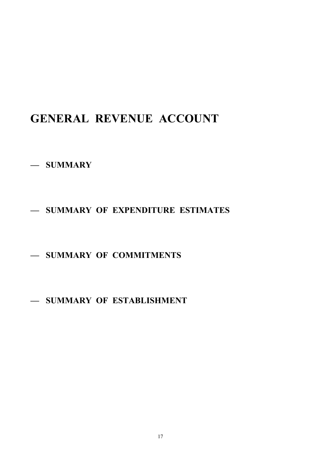# **GENERAL REVENUE ACCOUNT**

- **— SUMMARY**
- **— SUMMARY OF EXPENDITURE ESTIMATES**
- **— SUMMARY OF COMMITMENTS**
- **— SUMMARY OF ESTABLISHMENT**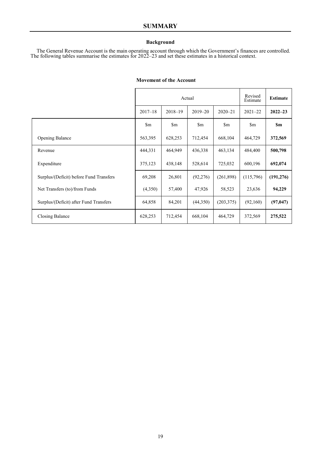#### **Background**

The General Revenue Account is the main operating account through which the Government's finances are controlled. The following tables summarise the estimates for 2022–23 and set these estimates in a historical context.

|                                         |                  | Actual        | Revised<br>Estimate | <b>Estimate</b> |               |               |
|-----------------------------------------|------------------|---------------|---------------------|-----------------|---------------|---------------|
|                                         | $2017 - 18$      | $2018 - 19$   | $2019 - 20$         | $2020 - 21$     | $2021 - 22$   | $2022 - 23$   |
|                                         | $\mathbb{S}_{m}$ | $\mathbf{Sm}$ | $\mathbb{S}_{m}$    | $\mathbf{\S}$ m | $\mathbf{Sm}$ | $\mathbf{Sm}$ |
| Opening Balance                         | 563,395          | 628,253       | 712,454             | 668,104         | 464,729       | 372,569       |
| Revenue                                 | 444,331          | 464,949       | 436,338             | 463,134         | 484,400       | 500,798       |
| Expenditure                             | 375,123          | 438,148       | 528,614             | 725,032         | 600,196       | 692,074       |
| Surplus/(Deficit) before Fund Transfers | 69,208           | 26,801        | (92, 276)           | (261,898)       | (115,796)     | (191, 276)    |
| Net Transfers (to)/from Funds           | (4,350)          | 57,400        | 47,926              | 58,523          | 23,636        | 94,229        |
| Surplus/(Deficit) after Fund Transfers  | 64,858           | 84,201        | (44,350)            | (203, 375)      | (92,160)      | (97, 047)     |
| Closing Balance                         | 628,253          | 712,454       | 668,104             | 464,729         | 372,569       | 275,522       |

#### **Movement of the Account**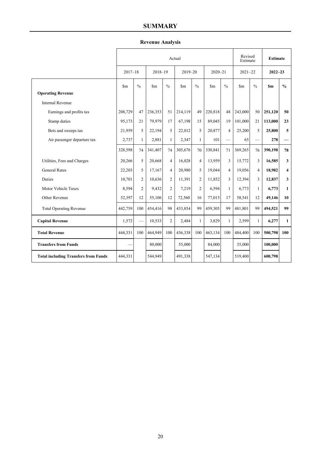## **SUMMARY**

## **Revenue Analysis**

|                                             | Actual      |                |             |                |                 |                |                 |                |             | Revised<br>Estimate |             | <b>Estimate</b> |  |
|---------------------------------------------|-------------|----------------|-------------|----------------|-----------------|----------------|-----------------|----------------|-------------|---------------------|-------------|-----------------|--|
|                                             | $2017 - 18$ |                | $2018 - 19$ |                | $2019 - 20$     |                | $2020 - 21$     |                | $2021 - 22$ |                     | $2022 - 23$ |                 |  |
|                                             | Sm          | $\frac{0}{0}$  | \$m         | $\frac{0}{0}$  | \$ <sub>m</sub> | $\frac{0}{0}$  | \$ <sub>m</sub> | $\frac{0}{0}$  | <b>Sm</b>   | $\frac{0}{0}$       | <b>Sm</b>   | $\frac{0}{0}$   |  |
| <b>Operating Revenue</b>                    |             |                |             |                |                 |                |                 |                |             |                     |             |                 |  |
| <b>Internal Revenue</b>                     |             |                |             |                |                 |                |                 |                |             |                     |             |                 |  |
| Earnings and profits tax                    | 208,729     | 47             | 236,353     | 51             | 214,119         | 49             | 220,818         | 48             | 243,000     | 50                  | 251,120     | 50              |  |
| Stamp duties                                | 95,173      | 21             | 79,979      | 17             | 67,198          | 15             | 89,045          | 19             | 101,000     | 21                  | 113,000     | 23              |  |
| Bets and sweeps tax                         | 21,959      | 5              | 22,194      | 5              | 22,012          | 5              | 20,877          | $\overline{4}$ | 25,200      | 5                   | 25,800      | 5               |  |
| Air passenger departure tax                 | 2,737       | $\mathbf{1}$   | 2,881       | $\mathbf{1}$   | 2,347           | $\mathbf{1}$   | 101             |                | 65          |                     | 278         |                 |  |
|                                             | 328,598     | 74             | 341,407     | 74             | 305,676         | 70             | 330,841         | 71             | 369,265     | 76                  | 390,198     | 78              |  |
| Utilities, Fees and Charges                 | 20,266      | 5              | 20,668      | $\overline{4}$ | 16,028          | $\overline{4}$ | 13.959          | 3              | 15,772      | 3                   | 16,585      | 3               |  |
| <b>General Rates</b>                        | 22,203      | 5              | 17,167      | $\overline{4}$ | 20,980          | 5              | 19,044          | $\overline{4}$ | 19,056      | 4                   | 18,982      | 4               |  |
| <b>Duties</b>                               | 10,701      | $\overline{2}$ | 10,636      | 2              | 11,391          | $\overline{2}$ | 11,852          | $\overline{3}$ | 12,394      | $\mathbf{3}$        | 12,837      | 3               |  |
| Motor Vehicle Taxes                         | 8,594       | $\overline{2}$ | 9,432       | 2              | 7,219           | $\overline{2}$ | 6,594           | $\mathbf{1}$   | 6,773       | $\mathbf{1}$        | 6,773       | 1               |  |
| Other Revenue                               | 52,397      | 12             | 55,106      | 12             | 72,560          | 16             | 77,015          | 17             | 58,541      | 12                  | 49,146      | 10              |  |
| <b>Total Operating Revenue</b>              | 442,759     | 100            | 454,416     | 98             | 433,854         | 99             | 459,305         | 99             | 481,801     | 99                  | 494,521     | 99              |  |
| <b>Capital Revenue</b>                      | 1,572       |                | 10,533      | $\overline{2}$ | 2,484           | $\mathbf{1}$   | 3,829           | $\mathbf{1}$   | 2,599       | $\mathbf{1}$        | 6,277       | $\mathbf{1}$    |  |
| <b>Total Revenue</b>                        | 444,331     | 100            | 464,949     | 100            | 436,338         | 100            | 463,134         | 100            | 484,400     | 100                 | 500,798     | 100             |  |
| <b>Transfers from Funds</b>                 |             |                | 80,000      |                | 55,000          |                | 84,000          |                | 35,000      |                     | 100,000     |                 |  |
| <b>Total including Transfers from Funds</b> | 444,331     |                | 544,949     |                | 491,338         |                | 547,134         |                | 519,400     |                     | 600,798     |                 |  |